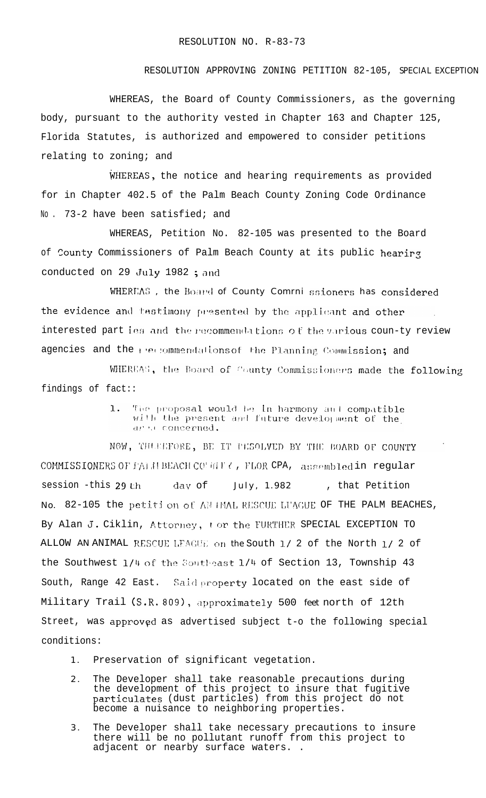## RESOLUTION APPROVING ZONING PETITION 82-105, SPECIAL EXCEPTION

WHEREAS, the Board of County Commissioners, as the governing body, pursuant to the authority vested in Chapter 163 and Chapter 125, Florida Statutes, is authorized and empowered to consider petitions relating to zoning; and

WHEREAS, the notice and hearing requirements as provided for in Chapter 402.5 of the Palm Beach County Zoning Code Ordinance No. 73-2 have been satisfied; and

WHEREAS, Petition No. 82-105 was presented to the Board of County Commissioners of Palm Beach County at its public hearing conducted on 29 July 1982 ; and

WHEREAS, the Board of County Comrni ssioners has considered the evidence and testimony presented by the applicant and other interested part ies and the recommendations of the various coun-ty review agencies and the recommendations of the Planning Commission; and

WHEREAS, the Board of County Commissioners made the following findings of fact::

> 1. The proposal would be in harmony and compatible with the present and future development of the ares concerned.

NOW, THURLFORE, BE IT PESOLVED BY THE BOARD OF COUNTY COMMISSIONERS OF FALEL BEACH CONTILY, FLOR CPA, assembled in regular session -this 29 th July, 1.982 day of , that Petition No. 82-105 the petition of AN PMAL RESCUE LUAGUE OF THE PALM BEACHES, By Alan J. Ciklin, Attorney, tor the FURTHER SPECIAL EXCEPTION TO ALLOW AN ANIMAL RESCUE LEAGUE on the South 1/ 2 of the North 1/ 2 of the Southwest 1/4 of the Southeast 1/4 of Section 13, Township 43 South, Range 42 East. Said property located on the east side of Military Trail (S.R. 809), approximately 500 feet north of 12th Street, was approved as advertised subject t-o the following special conditions:

- Preservation of significant vegetation.  $1 -$
- $2.$ The Developer shall take reasonable precautions during the development of this project to insure that fugitive particulates (dust particles) from this project do not become a nuisance to neighboring properties.
- The Developer shall take necessary precautions to insure<br>there will be no pollutant runoff from this project to  $3.$ adjacent or nearby surface waters..